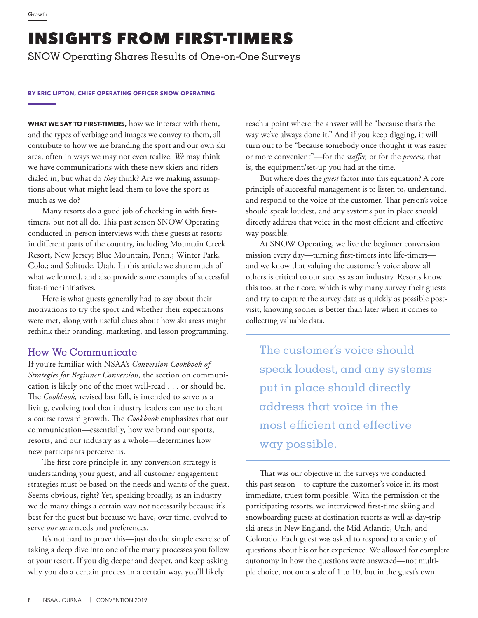# INSIGHTS FROM FIRST-TIMERS

SNOW Operating Shares Results of One-on-One Surveys

#### **BY ERIC LIPTON, CHIEF OPERATING OFFICER SNOW OPERATING**

**WHAT WE SAY TO FIRST-TIMERS,** how we interact with them, and the types of verbiage and images we convey to them, all contribute to how we are branding the sport and our own ski area, often in ways we may not even realize. *We* may think we have communications with these new skiers and riders dialed in, but what do *they* think? Are we making assumptions about what might lead them to love the sport as much as we do?

Many resorts do a good job of checking in with firsttimers, but not all do. This past season SNOW Operating conducted in-person interviews with these guests at resorts in different parts of the country, including Mountain Creek Resort, New Jersey; Blue Mountain, Penn.; Winter Park, Colo.; and Solitude, Utah. In this article we share much of what we learned, and also provide some examples of successful first-timer initiatives.

Here is what guests generally had to say about their motivations to try the sport and whether their expectations were met, along with useful clues about how ski areas might rethink their branding, marketing, and lesson programming.

#### How We Communicate

If you're familiar with NSAA's *Conversion Cookbook of Strategies for Beginner Conversion,* the section on communication is likely one of the most well-read . . . or should be. The *Cookbook,* revised last fall, is intended to serve as a living, evolving tool that industry leaders can use to chart a course toward growth. The *Cookbook* emphasizes that our communication—essentially, how we brand our sports, resorts, and our industry as a whole—determines how new participants perceive us.

The first core principle in any conversion strategy is understanding your guest, and all customer engagement strategies must be based on the needs and wants of the guest. Seems obvious, right? Yet, speaking broadly, as an industry we do many things a certain way not necessarily because it's best for the guest but because we have, over time, evolved to serve *our own* needs and preferences.

It's not hard to prove this—just do the simple exercise of taking a deep dive into one of the many processes you follow at your resort. If you dig deeper and deeper, and keep asking why you do a certain process in a certain way, you'll likely

reach a point where the answer will be "because that's the way we've always done it." And if you keep digging, it will turn out to be "because somebody once thought it was easier or more convenient"—for the *staffer,* or for the *process,* that is, the equipment/set-up you had at the time.

But where does the *guest* factor into this equation? A core principle of successful management is to listen to, understand, and respond to the voice of the customer. That person's voice should speak loudest, and any systems put in place should directly address that voice in the most efficient and effective way possible.

At SNOW Operating, we live the beginner conversion mission every day—turning first-timers into life-timers and we know that valuing the customer's voice above all others is critical to our success as an industry. Resorts know this too, at their core, which is why many survey their guests and try to capture the survey data as quickly as possible postvisit, knowing sooner is better than later when it comes to collecting valuable data.

The customer's voice should speak loudest, and any systems put in place should directly address that voice in the most efficient and effective way possible.

That was our objective in the surveys we conducted this past season—to capture the customer's voice in its most immediate, truest form possible. With the permission of the participating resorts, we interviewed first-time skiing and snowboarding guests at destination resorts as well as day-trip ski areas in New England, the Mid-Atlantic, Utah, and Colorado. Each guest was asked to respond to a variety of questions about his or her experience. We allowed for complete autonomy in how the questions were answered—not multiple choice, not on a scale of 1 to 10, but in the guest's own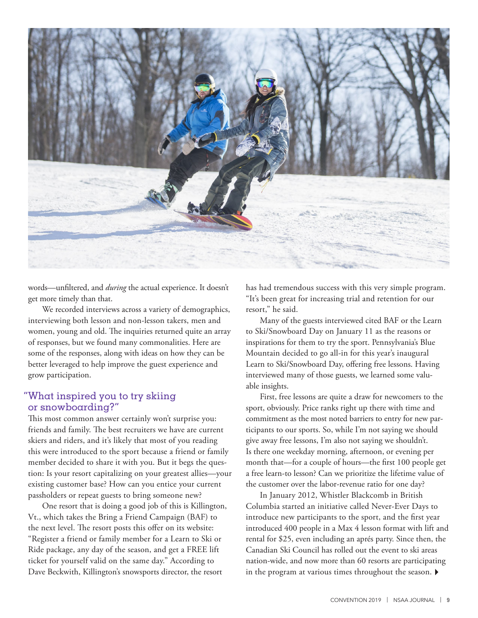

words—unfiltered, and *during* the actual experience. It doesn't get more timely than that.

We recorded interviews across a variety of demographics, interviewing both lesson and non-lesson takers, men and women, young and old. The inquiries returned quite an array of responses, but we found many commonalities. Here are some of the responses, along with ideas on how they can be better leveraged to help improve the guest experience and grow participation.

#### "What inspired you to try skiing or snowboarding?"

This most common answer certainly won't surprise you: friends and family. The best recruiters we have are current skiers and riders, and it's likely that most of you reading this were introduced to the sport because a friend or family member decided to share it with you. But it begs the question: Is your resort capitalizing on your greatest allies—your existing customer base? How can you entice your current passholders or repeat guests to bring someone new?

One resort that is doing a good job of this is Killington, Vt., which takes the Bring a Friend Campaign (BAF) to the next level. The resort posts this offer on its website: "Register a friend or family member for a Learn to Ski or Ride package, any day of the season, and get a FREE lift ticket for yourself valid on the same day." According to Dave Beckwith, Killington's snowsports director, the resort

has had tremendous success with this very simple program. "It's been great for increasing trial and retention for our resort," he said.

Many of the guests interviewed cited BAF or the Learn to Ski/Snowboard Day on January 11 as the reasons or inspirations for them to try the sport. Pennsylvania's Blue Mountain decided to go all-in for this year's inaugural Learn to Ski/Snowboard Day, offering free lessons. Having interviewed many of those guests, we learned some valuable insights.

First, free lessons are quite a draw for newcomers to the sport, obviously. Price ranks right up there with time and commitment as the most noted barriers to entry for new participants to our sports. So, while I'm not saying we should give away free lessons, I'm also not saying we shouldn't. Is there one weekday morning, afternoon, or evening per month that—for a couple of hours—the first 100 people get a free learn-to lesson? Can we prioritize the lifetime value of the customer over the labor-revenue ratio for one day?

In January 2012, Whistler Blackcomb in British Columbia started an initiative called Never-Ever Days to introduce new participants to the sport, and the first year introduced 400 people in a Max 4 lesson format with lift and rental for \$25, even including an aprés party. Since then, the Canadian Ski Council has rolled out the event to ski areas nation-wide, and now more than 60 resorts are participating in the program at various times throughout the season.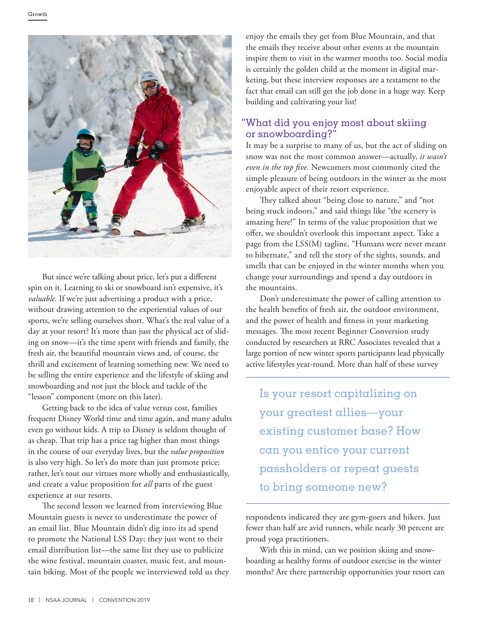

But since we're talking about price, let's put a different spin on it. Learning to ski or snowboard isn't expensive, it's *valuable.* If we're just advertising a product with a price, without drawing attention to the experiential values of our sports, we're selling ourselves short. What's the real value of a day at your resort? It's more than just the physical act of sliding on snow—it's the time spent with friends and family, the fresh air, the beautiful mountain views and, of course, the thrill and excitement of learning something new. We need to be selling the entire experience and the lifestyle of skiing and snowboarding and not just the block and tackle of the "lesson" component (more on this later).

Getting back to the idea of value versus cost, families frequent Disney World time and time again, and many adults even go without kids. A trip to Disney is seldom thought of as cheap. That trip has a price tag higher than most things in the course of our everyday lives, but the *value proposition* is also very high. So let's do more than just promote price; rather, let's tout our virtues more wholly and enthusiastically, and create a value proposition for *all* parts of the guest experience at our resorts.

The second lesson we learned from interviewing Blue Mountain guests is never to underestimate the power of an email list. Blue Mountain didn't dig into its ad spend to promote the National LSS Day; they just went to their email distribution list—the same list they use to publicize the wine festival, mountain coaster, music fest, and mountain biking. Most of the people we interviewed told us they enjoy the emails they get from Blue Mountain, and that the emails they receive about other events at the mountain inspire them to visit in the warmer months too. Social media is certainly the golden child at the moment in digital marketing, but these interview responses are a testament to the fact that email can still get the job done in a huge way. Keep building and cultivating your list!

## "What did you enjoy most about skiing or snowboarding?"

It may be a surprise to many of us, but the act of sliding on snow was not the most common answer—actually, *it wasn't even in the top five.* Newcomers most commonly cited the simple pleasure of being outdoors in the winter as the most enjoyable aspect of their resort experience.

They talked about "being close to nature," and "not being stuck indoors," and said things like "the scenery is amazing here!" In terms of the value proposition that we offer, we shouldn't overlook this important aspect. Take a page from the LSS(M) tagline, "Humans were never meant to hibernate," and tell the story of the sights, sounds, and smells that can be enjoyed in the winter months when you change your surroundings and spend a day outdoors in the mountains.

Don't underestimate the power of calling attention to the health benefits of fresh air, the outdoor environment, and the power of health and fitness in your marketing messages. The most recent Beginner Conversion study conducted by researchers at RRC Associates revealed that a large portion of new winter sports participants lead physically active lifestyles year-round. More than half of these survey

Is your resort capitalizing on your greatest allies—your existing customer base? How can you entice your current passholders or repeat guests to bring someone new?

respondents indicated they are gym-goers and hikers. Just fewer than half are avid runners, while nearly 30 percent are proud yoga practitioners.

With this in mind, can we position skiing and snowboarding as healthy forms of outdoor exercise in the winter months? Are there partnership opportunities your resort can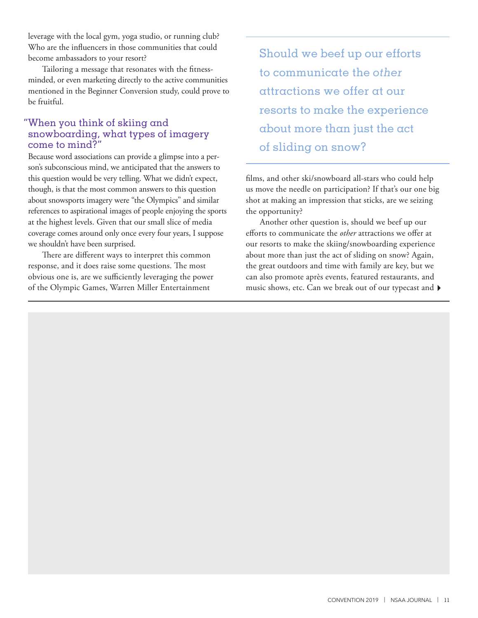leverage with the local gym, yoga studio, or running club? Who are the influencers in those communities that could become ambassadors to your resort?

Tailoring a message that resonates with the fitnessminded, or even marketing directly to the active communities mentioned in the Beginner Conversion study, could prove to be fruitful.

#### "When you think of skiing and snowboarding, what types of imagery come to mind?"

Because word associations can provide a glimpse into a person's subconscious mind, we anticipated that the answers to this question would be very telling. What we didn't expect, though, is that the most common answers to this question about snowsports imagery were "the Olympics" and similar references to aspirational images of people enjoying the sports at the highest levels. Given that our small slice of media coverage comes around only once every four years, I suppose we shouldn't have been surprised.

There are different ways to interpret this common response, and it does raise some questions. The most obvious one is, are we sufficiently leveraging the power of the Olympic Games, Warren Miller Entertainment

Should we beef up our efforts to communicate the *other*  attractions we offer at our resorts to make the experience about more than just the act of sliding on snow?

films, and other ski/snowboard all-stars who could help us move the needle on participation? If that's our one big shot at making an impression that sticks, are we seizing the opportunity?

Another other question is, should we beef up our efforts to communicate the *other* attractions we offer at our resorts to make the skiing/snowboarding experience about more than just the act of sliding on snow? Again, the great outdoors and time with family are key, but we can also promote après events, featured restaurants, and music shows, etc. Can we break out of our typecast and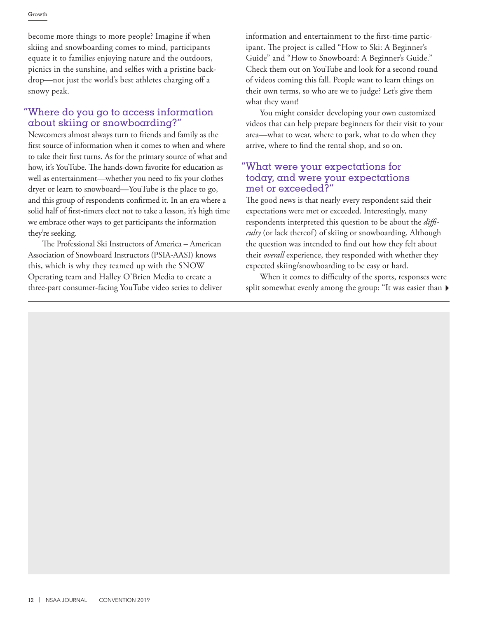become more things to more people? Imagine if when skiing and snowboarding comes to mind, participants equate it to families enjoying nature and the outdoors, picnics in the sunshine, and selfies with a pristine backdrop—not just the world's best athletes charging off a snowy peak.

### "Where do you go to access information about skiing or snowboarding?"

Newcomers almost always turn to friends and family as the first source of information when it comes to when and where to take their first turns. As for the primary source of what and how, it's YouTube. The hands-down favorite for education as well as entertainment—whether you need to fix your clothes dryer or learn to snowboard—YouTube is the place to go, and this group of respondents confirmed it. In an era where a solid half of first-timers elect not to take a lesson, it's high time we embrace other ways to get participants the information they're seeking.

The Professional Ski Instructors of America – American Association of Snowboard Instructors (PSIA-AASI) knows this, which is why they teamed up with the SNOW Operating team and Halley O'Brien Media to create a three-part consumer-facing YouTube video series to deliver information and entertainment to the first-time participant. The project is called "How to Ski: A Beginner's Guide" and "How to Snowboard: A Beginner's Guide." Check them out on YouTube and look for a second round of videos coming this fall. People want to learn things on their own terms, so who are we to judge? Let's give them what they want!

You might consider developing your own customized videos that can help prepare beginners for their visit to your area—what to wear, where to park, what to do when they arrive, where to find the rental shop, and so on.

#### "What were your expectations for today, and were your expectations met or exceeded?"

The good news is that nearly every respondent said their expectations were met or exceeded. Interestingly, many respondents interpreted this question to be about the *difficulty* (or lack thereof) of skiing or snowboarding. Although the question was intended to find out how they felt about their *overall* experience, they responded with whether they expected skiing/snowboarding to be easy or hard.

When it comes to difficulty of the sports, responses were split somewhat evenly among the group: "It was easier than  $\blacktriangleright$